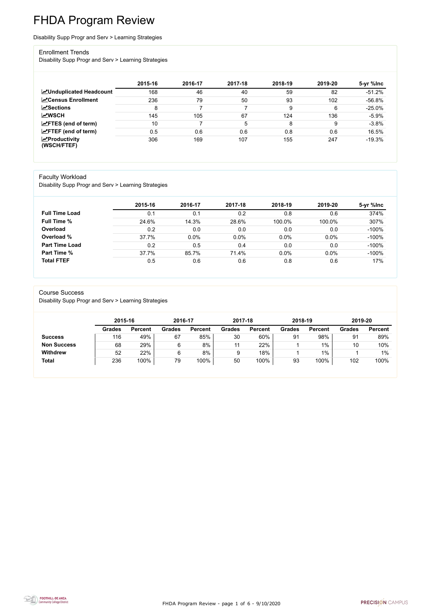FHDA Program Review - page 1 of 6 - 9/10/2020



# FHDA Program Review

Disability Supp Progr and Serv > Learning Strategies

#### Enrollment Trends

Disability Supp Progr and Serv > Learning Strategies

|                                                  | 2015-16 | 2016-17 | 2017-18 | 2018-19 | 2019-20 | 5-yr %lnc |
|--------------------------------------------------|---------|---------|---------|---------|---------|-----------|
| <b>ZUnduplicated Headcount</b>                   | 168     | 46      | 40      | 59      | 82      | $-51.2%$  |
| <b>ZCensus Enrollment</b>                        | 236     | 79      | 50      | 93      | 102     | $-56.8%$  |
| $\sqrt{\frac{1}{2}}$ Sections                    | 8       | ⇁       |         | 9       | 6       | $-25.0%$  |
| <b>MWSCH</b>                                     | 145     | 105     | 67      | 124     | 136     | $-5.9%$   |
| $\angle$ FTES (end of term)                      | 10      |         | 5       | 8       | 9       | $-3.8%$   |
| $\angle$ FTEF (end of term)                      | 0.5     | 0.6     | 0.6     | 0.8     | 0.6     | 16.5%     |
| $\sqrt{\frac{1}{2}}$ Productivity<br>(WSCH/FTEF) | 306     | 169     | 107     | 155     | 247     | $-19.3%$  |

#### Faculty Workload

Disability Supp Progr and Serv > Learning Strategies

|                       | 2015-16 | 2016-17 | 2017-18 | 2018-19 | 2019-20 | 5-yr %lnc |
|-----------------------|---------|---------|---------|---------|---------|-----------|
| <b>Full Time Load</b> | 0.1     | 0.1     | 0.2     | 0.8     | 0.6     | 374%      |
| <b>Full Time %</b>    | 24.6%   | 14.3%   | 28.6%   | 100.0%  | 100.0%  | 307%      |
| Overload              | 0.2     | 0.0     | 0.0     | 0.0     | 0.0     | $-100%$   |
| Overload %            | 37.7%   | 0.0%    | 0.0%    | 0.0%    | $0.0\%$ | $-100%$   |
| <b>Part Time Load</b> | 0.2     | 0.5     | 0.4     | 0.0     | 0.0     | $-100%$   |
| <b>Part Time %</b>    | 37.7%   | 85.7%   | 71.4%   | 0.0%    | 0.0%    | $-100%$   |
| <b>Total FTEF</b>     | 0.5     | 0.6     | 0.6     | 0.8     | 0.6     | 17%       |

#### Course Success

Disability Supp Progr and Serv > Learning Strategies

|                    |               | 2015-16        |               | 2016-17        |               | 2017-18        | 2018-19       |                | 2019-20       |                |
|--------------------|---------------|----------------|---------------|----------------|---------------|----------------|---------------|----------------|---------------|----------------|
|                    | <b>Grades</b> | <b>Percent</b> | <b>Grades</b> | <b>Percent</b> | <b>Grades</b> | <b>Percent</b> | <b>Grades</b> | <b>Percent</b> | <b>Grades</b> | <b>Percent</b> |
| <b>Success</b>     | 116           | 49%            | 67            | 85%            | 30            | 60%            | 91            | 98%            | 91            | 89%            |
| <b>Non Success</b> | 68            | 29%            | 6             | 8%             |               | 22%            |               | 1%             | 10            | 10%            |
| <b>Withdrew</b>    | 52            | 22%            | 6             | 8%             | 9             | 18%            |               | $1\%$          |               | $1\%$          |
| <b>Total</b>       | 236           | 100%           | 79            | 100%           | 50            | 100%           | 93            | 100%           | 102           | 100%           |

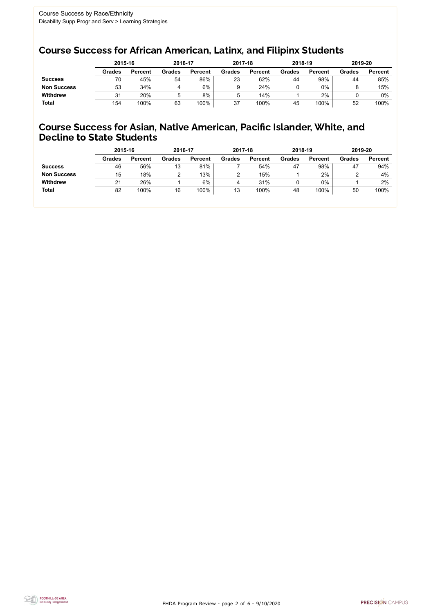FHDA Program Review - page 2 of 6 - 9/10/2020



### Course Success for African American, Latinx, and Filipinx Students

### Course Success for Asian, Native American, Pacific Islander, White, and Decline to State Students

|                    | 2015-16       |                | 2016-17       |                | 2017-18       |                | 2018-19       |                | 2019-20       |                |
|--------------------|---------------|----------------|---------------|----------------|---------------|----------------|---------------|----------------|---------------|----------------|
|                    | <b>Grades</b> | <b>Percent</b> | <b>Grades</b> | <b>Percent</b> | <b>Grades</b> | <b>Percent</b> | <b>Grades</b> | <b>Percent</b> | <b>Grades</b> | <b>Percent</b> |
| <b>Success</b>     | 70            | 45%            | 54            | 86%            | 23            | 62%            | 44            | 98%            | 44            | 85%            |
| <b>Non Success</b> | 53            | 34%            | 4             | 6%             |               | 24%            |               | 0%             |               | 15%            |
| <b>Withdrew</b>    | 31            | 20%            | 5             | 8%             | 5             | 14%            |               | 2%             |               | 0%             |
| <b>Total</b>       | 154           | 100%           | 63            | 100%           | 37            | 100%           | 45            | 100%           | 52            | 100%           |

|                    | 2015-16       |                | 2016-17       |                | 2017-18       |                | 2018-19       |                | 2019-20       |                |
|--------------------|---------------|----------------|---------------|----------------|---------------|----------------|---------------|----------------|---------------|----------------|
|                    | <b>Grades</b> | <b>Percent</b> | <b>Grades</b> | <b>Percent</b> | <b>Grades</b> | <b>Percent</b> | <b>Grades</b> | <b>Percent</b> | <b>Grades</b> | <b>Percent</b> |
| <b>Success</b>     | 46            | 56%            | 13            | 81%            |               | 54%            | 47            | 98%            | 47            | 94%            |
| <b>Non Success</b> | 15            | 18%            | ⌒             | 13%            | っ             | 15%            |               | 2%             |               | 4%             |
| <b>Withdrew</b>    | 21            | 26%            |               | 6%             |               | 31%            |               | $0\%$          |               | 2%             |
| <b>Total</b>       | 82            | 100%           | 16            | 100%           | 13            | 100%           | 48            | 100%           | 50            | 100%           |
|                    |               |                |               |                |               |                |               |                |               |                |

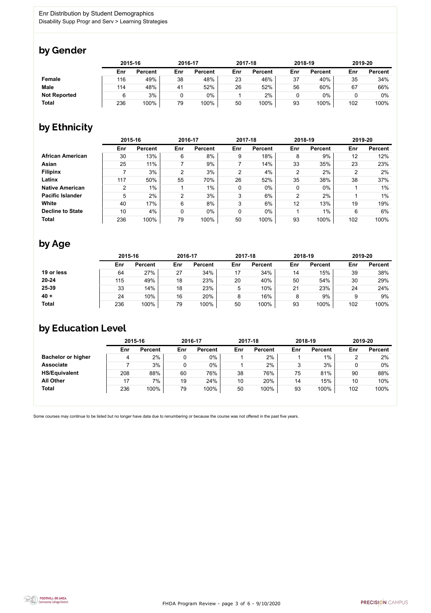

Some courses may continue to be listed but no longer have data due to renumbering or because the course was not offered in the past five years.



### by Gender

|                     |     | 2015-16        |     | 2016-17        |     | 2017-18        |     | 2018-19        |     | 2019-20        |  |
|---------------------|-----|----------------|-----|----------------|-----|----------------|-----|----------------|-----|----------------|--|
|                     | Enr | <b>Percent</b> | Enr | <b>Percent</b> | Enr | <b>Percent</b> | Enr | <b>Percent</b> | Enr | <b>Percent</b> |  |
| <b>Female</b>       | 116 | 49%            | 38  | 48%            | 23  | 46%            | 37  | 40%            | 35  | 34%            |  |
| <b>Male</b>         | 114 | 48%            | 41  | 52%            | 26  | 52%            | 56  | 60%            | 67  | 66%            |  |
| <b>Not Reported</b> |     | 3%             |     | 0%             |     | 2%             |     | $0\%$          |     | 0%             |  |
| <b>Total</b>        | 236 | 100%           | 79  | 100%           | 50  | 100%           | 93  | 100%           | 102 | 100%           |  |

### by Ethnicity

|                         |     | 2015-16        |                | 2016-17        |             | 2017-18        |                | 2018-19        | 2019-20 |                |
|-------------------------|-----|----------------|----------------|----------------|-------------|----------------|----------------|----------------|---------|----------------|
|                         | Enr | <b>Percent</b> | Enr            | <b>Percent</b> | Enr         | <b>Percent</b> | Enr            | <b>Percent</b> | Enr     | <b>Percent</b> |
| <b>African American</b> | 30  | 13%            | 6              | 8%             | 9           | 18%            | 8              | 9%             | 12      | 12%            |
| Asian                   | 25  | 11%            |                | 9%             |             | 14%            | 33             | 35%            | 23      | 23%            |
| <b>Filipinx</b>         |     | 3%             | $\overline{2}$ | 3%             | 2           | 4%             | 2              | 2%             | ົ       | 2%             |
| Latinx                  | 117 | 50%            | 55             | 70%            | 26          | 52%            | 35             | 38%            | 38      | 37%            |
| <b>Native American</b>  | 2   | $1\%$          |                | $1\%$          | $\mathbf 0$ | $0\%$          | $\mathbf 0$    | $0\%$          |         | $1\%$          |
| <b>Pacific Islander</b> | 5   | 2%             | $\overline{2}$ | 3%             | 3           | 6%             | $\overline{2}$ | 2%             |         | $1\%$          |
| White                   | 40  | 17%            | 6              | 8%             | 3           | 6%             | 12             | 13%            | 19      | 19%            |
| <b>Decline to State</b> | 10  | 4%             | 0              | $0\%$          | 0           | $0\%$          |                | $1\%$          | 6       | 6%             |
| <b>Total</b>            | 236 | 100%           | 79             | 100%           | 50          | 100%           | 93             | 100%           | 102     | 100%           |

### by Age

|              | 2015-16 |                |     | 2016-17        |     | 2017-18        |     | 2018-19        |     | 2019-20        |  |
|--------------|---------|----------------|-----|----------------|-----|----------------|-----|----------------|-----|----------------|--|
|              | Enr     | <b>Percent</b> | Enr | <b>Percent</b> | Enr | <b>Percent</b> | Enr | <b>Percent</b> | Enr | <b>Percent</b> |  |
| 19 or less   | 64      | 27%            | 27  | 34%            | 17  | 34%            | 14  | 15%            | 39  | 38%            |  |
| $20 - 24$    | 115     | 49%            | 18  | 23%            | 20  | 40%            | 50  | 54%            | 30  | 29%            |  |
| 25-39        | 33      | 14%            | 18  | 23%            | 5   | 10%            | 21  | 23%            | 24  | 24%            |  |
| $40 +$       | 24      | 10%            | 16  | 20%            | 8   | 16%            | 8   | 9%             |     | 9%             |  |
| <b>Total</b> | 236     | 100%           | 79  | 100%           | 50  | 100%           | 93  | 100%           | 102 | 100%           |  |

## by Education Level

|                           | 2015-16 |                |     | 2016-17        |     | 2017-18        | 2018-19 |                | 2019-20 |                |
|---------------------------|---------|----------------|-----|----------------|-----|----------------|---------|----------------|---------|----------------|
|                           | Enr     | <b>Percent</b> | Enr | <b>Percent</b> | Enr | <b>Percent</b> | Enr     | <b>Percent</b> | Enr     | <b>Percent</b> |
| <b>Bachelor or higher</b> | 4       | 2%             |     | $0\%$          |     | $2\%$          |         | 1%             |         | 2%             |
| <b>Associate</b>          |         | 3%             |     | $0\%$          |     | 2%             |         | 3%             |         | $0\%$          |
| <b>HS/Equivalent</b>      | 208     | 88%            | 60  | 76%            | 38  | 76%            | 75      | 81%            | 90      | 88%            |
| <b>All Other</b>          | 17      | 7%             | 19  | 24%            | 10  | 20%            | 14      | 15%            | 10      | 10%            |
| <b>Total</b>              | 236     | 100%           | 79  | 100%           | 50  | 100%           | 93      | 100%           | 102     | 100%           |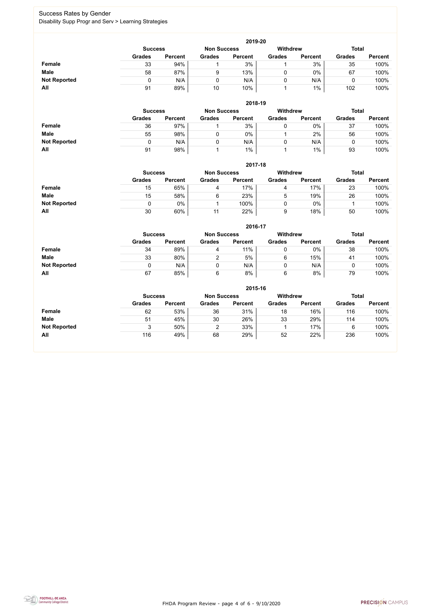FHDA Program Review - page 4 of 6 - 9/10/2020



### Success Rates by Gender Disability Supp Progr and Serv > Learning Strategies

|                     | 2019-20                                                                 |                |               |                |               |                |               |                |  |  |  |  |  |
|---------------------|-------------------------------------------------------------------------|----------------|---------------|----------------|---------------|----------------|---------------|----------------|--|--|--|--|--|
|                     | <b>Withdrew</b><br><b>Total</b><br><b>Non Success</b><br><b>Success</b> |                |               |                |               |                |               |                |  |  |  |  |  |
|                     | <b>Grades</b>                                                           | <b>Percent</b> | <b>Grades</b> | <b>Percent</b> | <b>Grades</b> | <b>Percent</b> | <b>Grades</b> | <b>Percent</b> |  |  |  |  |  |
| <b>Female</b>       | 33                                                                      | 94%            |               | 3%             |               | 3%             | 35            | 100%           |  |  |  |  |  |
| <b>Male</b>         | 58                                                                      | 87%            | 9             | 13%            |               | $0\%$          | 67            | 100%           |  |  |  |  |  |
| <b>Not Reported</b> |                                                                         | N/A            | 0             | N/A            |               | N/A            |               | 100%           |  |  |  |  |  |
| All                 | 91                                                                      | 89%            | 10            | 10%            |               | $1\%$          | 102           | 100%           |  |  |  |  |  |

|                     | 2018-19                              |                |               |                |                 |                |               |                |  |  |  |  |  |
|---------------------|--------------------------------------|----------------|---------------|----------------|-----------------|----------------|---------------|----------------|--|--|--|--|--|
|                     | <b>Non Success</b><br><b>Success</b> |                |               |                | <b>Withdrew</b> |                | <b>Total</b>  |                |  |  |  |  |  |
|                     | <b>Grades</b>                        | <b>Percent</b> | <b>Grades</b> | <b>Percent</b> | <b>Grades</b>   | <b>Percent</b> | <b>Grades</b> | <b>Percent</b> |  |  |  |  |  |
| <b>Female</b>       | 36                                   | 97%            |               | 3%             | 0               | $0\%$          | 37            | 100%           |  |  |  |  |  |
| <b>Male</b>         | 55                                   | 98%            |               | 0%             |                 | 2%             | 56            | 100%           |  |  |  |  |  |
| <b>Not Reported</b> | 0                                    | N/A            |               | N/A            |                 | N/A            |               | 100%           |  |  |  |  |  |
| All                 | 91                                   | 98%            |               | 1%             |                 | $1\%$          | 93            | 100%           |  |  |  |  |  |

|                     |               | 2017-18                                                                 |               |                |               |                |               |                |  |  |  |  |  |  |
|---------------------|---------------|-------------------------------------------------------------------------|---------------|----------------|---------------|----------------|---------------|----------------|--|--|--|--|--|--|
|                     |               | <b>Withdrew</b><br><b>Total</b><br><b>Non Success</b><br><b>Success</b> |               |                |               |                |               |                |  |  |  |  |  |  |
|                     | <b>Grades</b> | <b>Percent</b>                                                          | <b>Grades</b> | <b>Percent</b> | <b>Grades</b> | <b>Percent</b> | <b>Grades</b> | <b>Percent</b> |  |  |  |  |  |  |
| Female              | 15            | 65%                                                                     |               | 17%            | 4             | 17%            | 23            | 100%           |  |  |  |  |  |  |
| <b>Male</b>         | 15            | 58%                                                                     | 6             | 23%            | 5             | 19%            | 26            | 100%           |  |  |  |  |  |  |
| <b>Not Reported</b> |               | $0\%$                                                                   |               | $100\%$        |               | $0\%$          |               | 100%           |  |  |  |  |  |  |
| All                 | 30            | 60%                                                                     | 11            | 22%            | 9             | 18%            | 50            | 100%           |  |  |  |  |  |  |

|                     |               | 2016-17                              |               |                |                 |                |               |                |  |  |
|---------------------|---------------|--------------------------------------|---------------|----------------|-----------------|----------------|---------------|----------------|--|--|
|                     |               | <b>Non Success</b><br><b>Success</b> |               |                | <b>Withdrew</b> |                | <b>Total</b>  |                |  |  |
|                     | <b>Grades</b> | <b>Percent</b>                       | <b>Grades</b> | <b>Percent</b> | <b>Grades</b>   | <b>Percent</b> | <b>Grades</b> | <b>Percent</b> |  |  |
| <b>Female</b>       | 34            | 89%                                  | 4             | 11%            | U               | $0\%$          | 38            | 100%           |  |  |
| <b>Male</b>         | 33            | 80%                                  | ົ             | 5%             | 6               | 15%            | 41            | 100%           |  |  |
| <b>Not Reported</b> | 0             | N/A                                  |               | N/A            | 0               | N/A            |               | 100%           |  |  |
| All                 | 67            | 85%                                  | 6             | 8%             | 6               | 8%             | 79            | 100%           |  |  |

|                     | 2015-16        |                |                    |                |                 |                |               |                |  |
|---------------------|----------------|----------------|--------------------|----------------|-----------------|----------------|---------------|----------------|--|
|                     | <b>Success</b> |                | <b>Non Success</b> |                | <b>Withdrew</b> |                | <b>Total</b>  |                |  |
|                     | <b>Grades</b>  | <b>Percent</b> | <b>Grades</b>      | <b>Percent</b> | <b>Grades</b>   | <b>Percent</b> | <b>Grades</b> | <b>Percent</b> |  |
| <b>Female</b>       | 62             | 53%            | 36                 | 31%            | 18              | 16%            | 116           | 100%           |  |
| <b>Male</b>         | 51             | 45%            | 30                 | 26%            | 33              | 29%            | 114           | 100%           |  |
| <b>Not Reported</b> |                | 50%            |                    | 33%            |                 | 17%            | 6             | 100%           |  |
| All                 | 116            | 49%            | 68                 | 29%            | 52              | 22%            | 236           | 100%           |  |

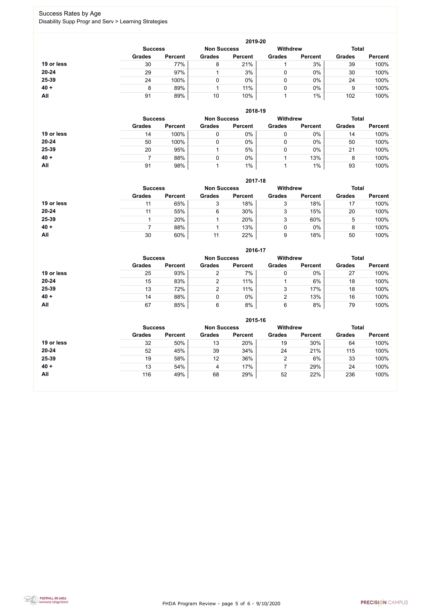FHDA Program Review - page 5 of 6 - 9/10/2020



### Success Rates by Age Disability Supp Progr and Serv > Learning Strategies

|            |                |                |                    | 2019-20        |                 |                |               |                |
|------------|----------------|----------------|--------------------|----------------|-----------------|----------------|---------------|----------------|
|            | <b>Success</b> |                | <b>Non Success</b> |                | <b>Withdrew</b> |                | <b>Total</b>  |                |
|            | <b>Grades</b>  | <b>Percent</b> | <b>Grades</b>      | <b>Percent</b> | <b>Grades</b>   | <b>Percent</b> | <b>Grades</b> | <b>Percent</b> |
| 19 or less | 30             | 77%            | 8                  | 21%            |                 | 3%             | 39            | 100%           |
| $20 - 24$  | 29             | 97%            |                    | 3%             | 0               | $0\%$          | 30            | 100%           |
| 25-39      | 24             | 100%           |                    | 0%             | 0               | $0\%$          | 24            | 100%           |
| $40 +$     | 8              | 89%            |                    | 11%            |                 | $0\%$          | 9             | 100%           |
| All        | 91             | 89%            | 10                 | 10%            |                 | $1\%$          | 102           | 100%           |

|            |                |                |                    | 2018-19        |                 |                |               |                |
|------------|----------------|----------------|--------------------|----------------|-----------------|----------------|---------------|----------------|
|            | <b>Success</b> |                | <b>Non Success</b> |                | <b>Withdrew</b> |                | <b>Total</b>  |                |
|            | <b>Grades</b>  | <b>Percent</b> | <b>Grades</b>      | <b>Percent</b> | <b>Grades</b>   | <b>Percent</b> | <b>Grades</b> | <b>Percent</b> |
| 19 or less | 14             | 100%           |                    | 0%             | υ               | 0%             | 14            | 100%           |
| $20 - 24$  | 50             | 100%           |                    | 0%             | ν               | $0\%$          | 50            | 100%           |
| 25-39      | 20             | 95%            |                    | 5%             | ν               | 0%             | 21            | 100%           |
| $40 +$     |                | 88%            |                    | $0\%$          |                 | 13%            | 8             | 100%           |
| All        | 91             | 98%            |                    | 1%             |                 | $1\%$          | 93            | 100%           |

|            | 2017-18                              |                |               |                |                 |                |               |                |  |
|------------|--------------------------------------|----------------|---------------|----------------|-----------------|----------------|---------------|----------------|--|
|            | <b>Non Success</b><br><b>Success</b> |                |               |                | <b>Withdrew</b> |                | <b>Total</b>  |                |  |
|            | <b>Grades</b>                        | <b>Percent</b> | <b>Grades</b> | <b>Percent</b> | <b>Grades</b>   | <b>Percent</b> | <b>Grades</b> | <b>Percent</b> |  |
| 19 or less | 11                                   | 65%            | 3             | 18%            | 3               | 18%            | 17            | 100%           |  |
| 20-24      | 11                                   | 55%            | 6             | 30%            | 3               | 15%            | 20            | 100%           |  |
| 25-39      |                                      | 20%            |               | 20%            | 3               | 60%            | 5             | 100%           |  |
| $40 +$     |                                      | 88%            |               | 13%            | 0               | $0\%$          | 8             | 100%           |  |
| <b>All</b> | 30                                   | 60%            | 11            | 22%            | 9               | 18%            | 50            | 100%           |  |

|            |                |                    |               | 2016-17         |               |                |               |                |
|------------|----------------|--------------------|---------------|-----------------|---------------|----------------|---------------|----------------|
|            | <b>Success</b> | <b>Non Success</b> |               | <b>Withdrew</b> |               | <b>Total</b>   |               |                |
|            | <b>Grades</b>  | <b>Percent</b>     | <b>Grades</b> | <b>Percent</b>  | <b>Grades</b> | <b>Percent</b> | <b>Grades</b> | <b>Percent</b> |
| 19 or less | 25             | 93%                | ⌒             | 7%              | 0             | $0\%$          | 27            | 100%           |
| $20 - 24$  | 15             | 83%                | ົ             | 11%             |               | 6%             | 18            | 100%           |
| 25-39      | 13             | 72%                | 2             | 11%             | 3             | 17%            | 18            | 100%           |
| $40 +$     | 14             | 88%                |               | $0\%$           | っ             | 13%            | 16            | 100%           |
| All        | 67             | 85%                | 6             | 8%              | 6             | 8%             | 79            | 100%           |

|            |                |                    |               | 2015-16         |               |                |               |                |
|------------|----------------|--------------------|---------------|-----------------|---------------|----------------|---------------|----------------|
|            | <b>Success</b> | <b>Non Success</b> |               | <b>Withdrew</b> |               | <b>Total</b>   |               |                |
|            | <b>Grades</b>  | <b>Percent</b>     | <b>Grades</b> | <b>Percent</b>  | <b>Grades</b> | <b>Percent</b> | <b>Grades</b> | <b>Percent</b> |
| 19 or less | 32             | 50%                | 13            | 20%             | 19            | 30%            | 64            | 100%           |
| $20 - 24$  | 52             | 45%                | 39            | 34%             | 24            | 21%            | 115           | 100%           |
| 25-39      | 19             | 58%                | 12            | 36%             | $\mathcal{D}$ | 6%             | 33            | 100%           |
| $40 +$     | 13             | 54%                | 4             | 17%             |               | 29%            | 24            | 100%           |
| All        | 116            | 49%                | 68            | 29%             | 52            | 22%            | 236           | 100%           |